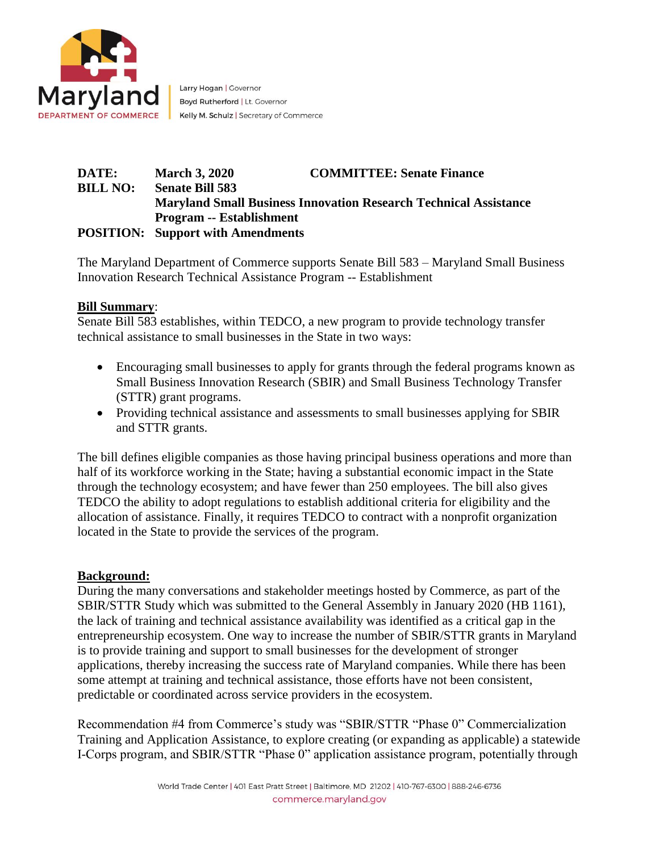

Larry Hogan | Governor Boyd Rutherford | Lt. Governor Kelly M. Schulz | Secretary of Commerce

### **DATE: March 3, 2020 COMMITTEE: Senate Finance BILL NO: Senate Bill 583 Maryland Small Business Innovation Research Technical Assistance Program -- Establishment POSITION: Support with Amendments**

The Maryland Department of Commerce supports Senate Bill 583 – Maryland Small Business Innovation Research Technical Assistance Program -- Establishment

## **Bill Summary**:

Senate Bill 583 establishes, within TEDCO, a new program to provide technology transfer technical assistance to small businesses in the State in two ways:

- Encouraging small businesses to apply for grants through the federal programs known as Small Business Innovation Research (SBIR) and Small Business Technology Transfer (STTR) grant programs.
- Providing technical assistance and assessments to small businesses applying for SBIR and STTR grants.

The bill defines eligible companies as those having principal business operations and more than half of its workforce working in the State; having a substantial economic impact in the State through the technology ecosystem; and have fewer than 250 employees. The bill also gives TEDCO the ability to adopt regulations to establish additional criteria for eligibility and the allocation of assistance. Finally, it requires TEDCO to contract with a nonprofit organization located in the State to provide the services of the program.

#### **Background:**

During the many conversations and stakeholder meetings hosted by Commerce, as part of the SBIR/STTR Study which was submitted to the General Assembly in January 2020 (HB 1161), the lack of training and technical assistance availability was identified as a critical gap in the entrepreneurship ecosystem. One way to increase the number of SBIR/STTR grants in Maryland is to provide training and support to small businesses for the development of stronger applications, thereby increasing the success rate of Maryland companies. While there has been some attempt at training and technical assistance, those efforts have not been consistent, predictable or coordinated across service providers in the ecosystem.

Recommendation #4 from Commerce's study was "SBIR/STTR "Phase 0" Commercialization Training and Application Assistance, to explore creating (or expanding as applicable) a statewide I-Corps program, and SBIR/STTR "Phase 0" application assistance program, potentially through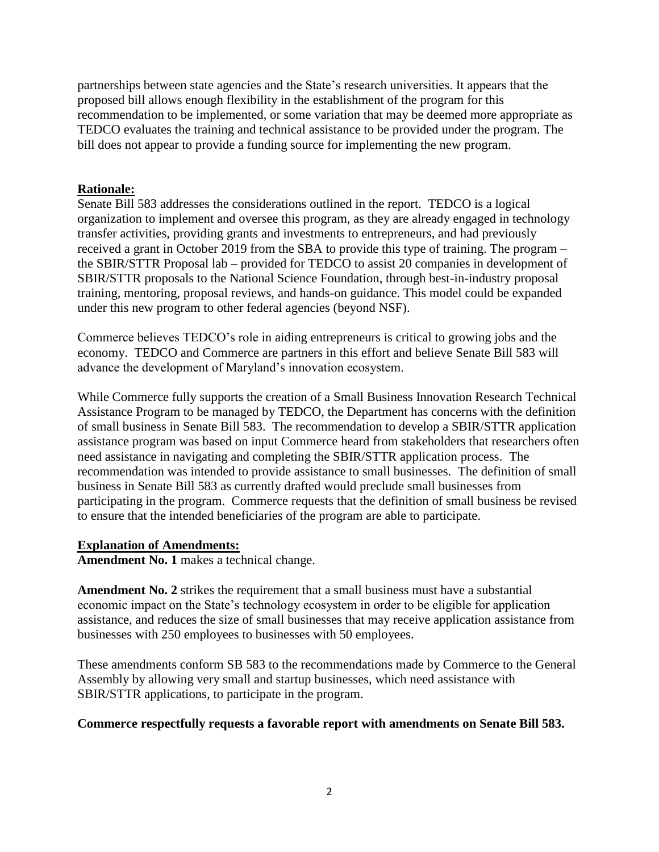partnerships between state agencies and the State's research universities. It appears that the proposed bill allows enough flexibility in the establishment of the program for this recommendation to be implemented, or some variation that may be deemed more appropriate as TEDCO evaluates the training and technical assistance to be provided under the program. The bill does not appear to provide a funding source for implementing the new program.

### **Rationale:**

Senate Bill 583 addresses the considerations outlined in the report. TEDCO is a logical organization to implement and oversee this program, as they are already engaged in technology transfer activities, providing grants and investments to entrepreneurs, and had previously received a grant in October 2019 from the SBA to provide this type of training. The program – the SBIR/STTR Proposal lab – provided for TEDCO to assist 20 companies in development of SBIR/STTR proposals to the National Science Foundation, through best-in-industry proposal training, mentoring, proposal reviews, and hands-on guidance. This model could be expanded under this new program to other federal agencies (beyond NSF).

Commerce believes TEDCO's role in aiding entrepreneurs is critical to growing jobs and the economy. TEDCO and Commerce are partners in this effort and believe Senate Bill 583 will advance the development of Maryland's innovation ecosystem.

While Commerce fully supports the creation of a Small Business Innovation Research Technical Assistance Program to be managed by TEDCO, the Department has concerns with the definition of small business in Senate Bill 583. The recommendation to develop a SBIR/STTR application assistance program was based on input Commerce heard from stakeholders that researchers often need assistance in navigating and completing the SBIR/STTR application process. The recommendation was intended to provide assistance to small businesses. The definition of small business in Senate Bill 583 as currently drafted would preclude small businesses from participating in the program. Commerce requests that the definition of small business be revised to ensure that the intended beneficiaries of the program are able to participate.

#### **Explanation of Amendments:**

**Amendment No. 1** makes a technical change.

**Amendment No. 2** strikes the requirement that a small business must have a substantial economic impact on the State's technology ecosystem in order to be eligible for application assistance, and reduces the size of small businesses that may receive application assistance from businesses with 250 employees to businesses with 50 employees.

These amendments conform SB 583 to the recommendations made by Commerce to the General Assembly by allowing very small and startup businesses, which need assistance with SBIR/STTR applications, to participate in the program.

#### **Commerce respectfully requests a favorable report with amendments on Senate Bill 583.**